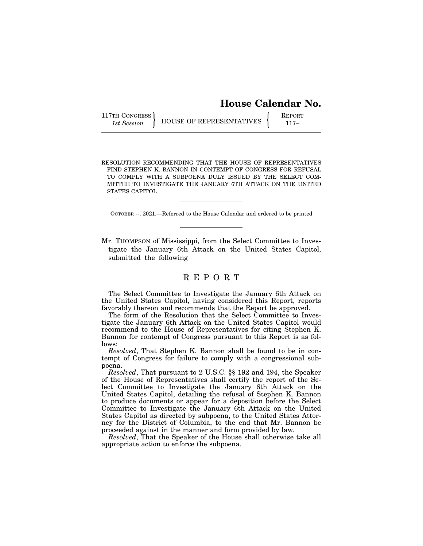# **House Calendar No.**

117TH CONGRESS **REPORT 1** HOUSE OF REPRESENTATIVES **FOR A PARTICULAR EXPANSIVE A** 117-

RESOLUTION RECOMMENDING THAT THE HOUSE OF REPRESENTATIVES FIND STEPHEN K. BANNON IN CONTEMPT OF CONGRESS FOR REFUSAL TO COMPLY WITH A SUBPOENA DULY ISSUED BY THE SELECT COM-MITTEE TO INVESTIGATE THE JANUARY 6TH ATTACK ON THE UNITED STATES CAPITOL

OCTOBER --, 2021.—Referred to the House Calendar and ordered to be printed

Mr. THOMPSON of Mississippi, from the Select Committee to Investigate the January 6th Attack on the United States Capitol, submitted the following

# R E P O R T

The Select Committee to Investigate the January 6th Attack on the United States Capitol, having considered this Report, reports favorably thereon and recommends that the Report be approved.

The form of the Resolution that the Select Committee to Investigate the January 6th Attack on the United States Capitol would recommend to the House of Representatives for citing Stephen K. Bannon for contempt of Congress pursuant to this Report is as follows:

*Resolved*, That Stephen K. Bannon shall be found to be in contempt of Congress for failure to comply with a congressional subpoena.

*Resolved*, That pursuant to 2 U.S.C. §§ 192 and 194, the Speaker of the House of Representatives shall certify the report of the Select Committee to Investigate the January 6th Attack on the United States Capitol, detailing the refusal of Stephen K. Bannon to produce documents or appear for a deposition before the Select Committee to Investigate the January 6th Attack on the United States Capitol as directed by subpoena, to the United States Attorney for the District of Columbia, to the end that Mr. Bannon be proceeded against in the manner and form provided by law.

*Resolved*, That the Speaker of the House shall otherwise take all appropriate action to enforce the subpoena.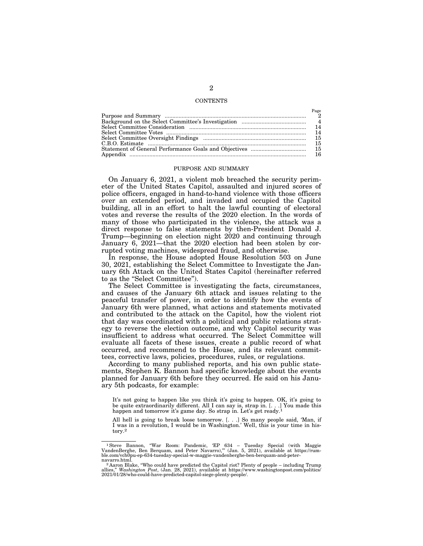### **CONTENTS**

 $P_2$ 

| rage |
|------|
|      |
|      |
| 14   |
| 14   |
| 15   |
| 15   |
|      |
| 16   |

#### PURPOSE AND SUMMARY

On January 6, 2021, a violent mob breached the security perimeter of the United States Capitol, assaulted and injured scores of police officers, engaged in hand-to-hand violence with those officers over an extended period, and invaded and occupied the Capitol building, all in an effort to halt the lawful counting of electoral votes and reverse the results of the 2020 election. In the words of many of those who participated in the violence, the attack was a direct response to false statements by then-President Donald J. Trump—beginning on election night 2020 and continuing through January 6, 2021—that the 2020 election had been stolen by corrupted voting machines, widespread fraud, and otherwise.

In response, the House adopted House Resolution 503 on June 30, 2021, establishing the Select Committee to Investigate the January 6th Attack on the United States Capitol (hereinafter referred to as the ''Select Committee'').

The Select Committee is investigating the facts, circumstances, and causes of the January 6th attack and issues relating to the peaceful transfer of power, in order to identify how the events of January 6th were planned, what actions and statements motivated and contributed to the attack on the Capitol, how the violent riot that day was coordinated with a political and public relations strategy to reverse the election outcome, and why Capitol security was insufficient to address what occurred. The Select Committee will evaluate all facets of these issues, create a public record of what occurred, and recommend to the House, and its relevant committees, corrective laws, policies, procedures, rules, or regulations.

According to many published reports, and his own public statements, Stephen K. Bannon had specific knowledge about the events planned for January 6th before they occurred. He said on his January 5th podcasts, for example:

It's not going to happen like you think it's going to happen. OK, it's going to be quite extraordinarily different. All I can say is, strap in. [. . .] You made this happen and tomorrow it's game day. So strap in. Let's get ready.<sup>1</sup>

All hell is going to break loose tomorrow. [. . .] So many people said, 'Man, if I was in a revolution, I would be in Washington.' Well, this is your time in history.2

<sup>&</sup>lt;sup>1</sup> Steve Bannon, "War Room: Pandemic, 'EP 634 – Tuesday Special (with Maggie VandenBerghe, Ben Berquam, and Peter Navarro)," (Jan. 5, 2021), available at https://rum-<br>ble.com/vch0pu-ep-634-tuesday-special-w-maggie-vandenb

navarro.html.<br><sup>2</sup> Aaron Blake, "Who could have predicted the Capitol riot? Plenty of people – including Trump<br>allies," *Washington Post*, (Jan. 28, 2021), available at https://www.washingtonpost.com/politics/<br>2021/01/28/wh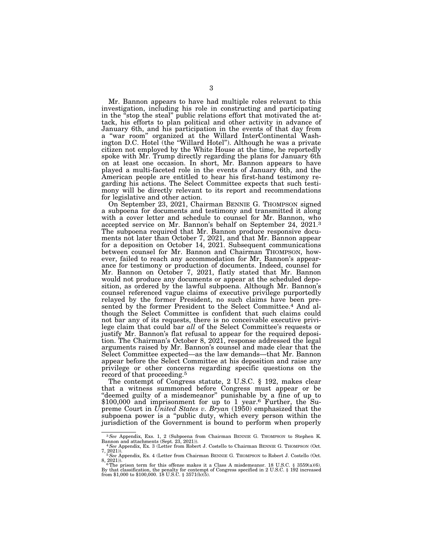Mr. Bannon appears to have had multiple roles relevant to this investigation, including his role in constructing and participating in the ''stop the steal'' public relations effort that motivated the attack, his efforts to plan political and other activity in advance of January 6th, and his participation in the events of that day from a ''war room'' organized at the Willard InterContinental Washington D.C. Hotel (the "Willard Hotel"). Although he was a private citizen not employed by the White House at the time, he reportedly spoke with Mr. Trump directly regarding the plans for January 6th on at least one occasion. In short, Mr. Bannon appears to have played a multi-faceted role in the events of January 6th, and the American people are entitled to hear his first-hand testimony regarding his actions. The Select Committee expects that such testimony will be directly relevant to its report and recommendations for legislative and other action.

On September 23, 2021, Chairman BENNIE G. THOMPSON signed a subpoena for documents and testimony and transmitted it along with a cover letter and schedule to counsel for Mr. Bannon, who accepted service on Mr. Bannon's behalf on September 24, 2021.<sup>3</sup> The subpoena required that Mr. Bannon produce responsive documents not later than October 7, 2021, and that Mr. Bannon appear for a deposition on October 14, 2021. Subsequent communications between counsel for Mr. Bannon and Chairman THOMPSON, however, failed to reach any accommodation for Mr. Bannon's appearance for testimony or production of documents. Indeed, counsel for Mr. Bannon on October 7, 2021, flatly stated that Mr. Bannon would not produce any documents or appear at the scheduled deposition, as ordered by the lawful subpoena. Although Mr. Bannon's counsel referenced vague claims of executive privilege purportedly relayed by the former President, no such claims have been presented by the former President to the Select Committee.<sup>4</sup> And although the Select Committee is confident that such claims could not bar any of its requests, there is no conceivable executive privilege claim that could bar *all* of the Select Committee's requests or justify Mr. Bannon's flat refusal to appear for the required deposition. The Chairman's October 8, 2021, response addressed the legal arguments raised by Mr. Bannon's counsel and made clear that the Select Committee expected—as the law demands—that Mr. Bannon appear before the Select Committee at his deposition and raise any privilege or other concerns regarding specific questions on the record of that proceeding.<sup>5</sup>

The contempt of Congress statute, 2 U.S.C. § 192, makes clear that a witness summoned before Congress must appear or be ''deemed guilty of a misdemeanor'' punishable by a fine of up to \$100,000 and imprisonment for up to 1 year.<sup>6</sup> Further, the Supreme Court in *United States v. Bryan* (1950) emphasized that the subpoena power is a ''public duty, which every person within the jurisdiction of the Government is bound to perform when properly

<sup>3</sup>*See* Appendix, Exs. 1, 2 (Subpoena from Chairman BENNIE G. THOMPSON to Stephen K.

Bannon and attachments (Sept. 23, 2021)).<br>
4*See Appendix, Ex.* 3 (Letter from Robert J. Costello to Chairman BENNIE G. THOMPSON (Oct. 7, 2021)).

<sup>7, 2021)). 5</sup>*See* Appendix, Ex. 4 (Letter from Chairman BENNIE G. THOMPSON to Robert J. Costello (Oct.

<sup>8, 2021)).</sup>  $\overline{\phantom{a}}$ <br>6 The prison term for this offense makes it a Class A misdemeanor. 18 U.S.C. § 3559(a)(6).<br>By that classification, the penalty for contempt of Congress specified in 2 U.S.C. § 192 increased<br>from \$1,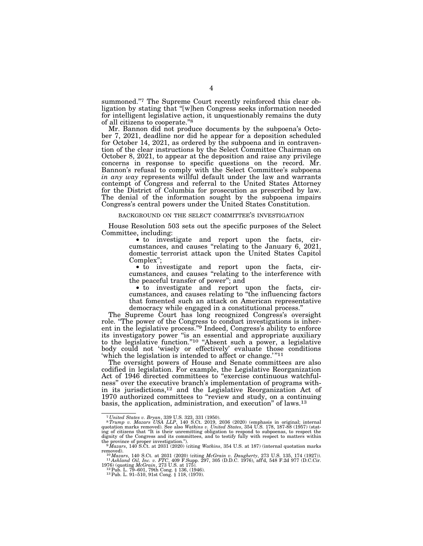summoned."<sup>7</sup> The Supreme Court recently reinforced this clear obligation by stating that ''[w]hen Congress seeks information needed for intelligent legislative action, it unquestionably remains the duty of all citizens to cooperate.''8

Mr. Bannon did not produce documents by the subpoena's October 7, 2021, deadline nor did he appear for a deposition scheduled for October 14, 2021, as ordered by the subpoena and in contravention of the clear instructions by the Select Committee Chairman on October 8, 2021, to appear at the deposition and raise any privilege concerns in response to specific questions on the record. Mr. Bannon's refusal to comply with the Select Committee's subpoena *in any way* represents willful default under the law and warrants contempt of Congress and referral to the United States Attorney for the District of Columbia for prosecution as prescribed by law. The denial of the information sought by the subpoena impairs Congress's central powers under the United States Constitution.

### BACKGROUND ON THE SELECT COMMITTEE'S INVESTIGATION

House Resolution 503 sets out the specific purposes of the Select Committee, including: • to investigate and report upon the facts, cir-

cumstances, and causes ''relating to the January 6, 2021, domestic terrorist attack upon the United States Capitol

 $\bullet$  to investigate and report upon the facts, circumstances, and causes "relating to the interference with the peaceful transfer of power"; and the peaceful transfer of power"; and<br>• to investigate and report upon the facts, cir-

cumstances, and causes relating to ''the influencing factors that fomented such an attack on American representative democracy while engaged in a constitutional process.''

The Supreme Court has long recognized Congress's oversight role. "The power of the Congress to conduct investigations is inherent in the legislative process.''9 Indeed, Congress's ability to enforce its investigatory power ''is an essential and appropriate auxiliary to the legislative function."<sup>10</sup> "Absent such a power, a legislative body could not 'wisely or effectively' evaluate those conditions 'which the legislation is intended to affect or change.'"<sup>11</sup>

The oversight powers of House and Senate committees are also codified in legislation. For example, the Legislative Reorganization Act of 1946 directed committees to ''exercise continuous watchfulness'' over the executive branch's implementation of programs within its jurisdictions,12 and the Legislative Reorganization Act of 1970 authorized committees to ''review and study, on a continuing basis, the application, administration, and execution'' of laws.13

<sup>&</sup>lt;sup>7</sup> United States v. Bryan, 339 U.S. 323, 331 (1950).<br><sup>8</sup> Trump v. Mazars USA LLP, 140 S.Ct. 2019, 2036 (2020) (emphasis in original; internal anarks removed). See also Watkins v. United States, 354 U.S. 178, 187-88 (1957 dignity of the Congress and its committees, and to testify fully with respect to matters within

the province of proper investigation."). 9*Mazars*, 140 S.Ct. at 2031 (2020) (citing *Watkins*, 354 U.S. at 187) (internal quotation marks removed).

removed). 10*Mazars*, 140 S.Ct. at 2031 (2020) (citing *McGrain v. Daugherty*, 273 U.S. 135, 174 (1927)). 11 *Ashland Oil, Inc. v. FTC*, 409 F.Supp. 297, 305 (D.D.C. 1976), aff'd, 548 F.2d 977 (D.C.Cir. 1976) (quoting *McGrain*, 273 U.S. at 175). 12Pub. L. 79–601, 79th Cong. § 136, (1946). 13Pub. L. 91–510, 91st Cong. § 118, (1970).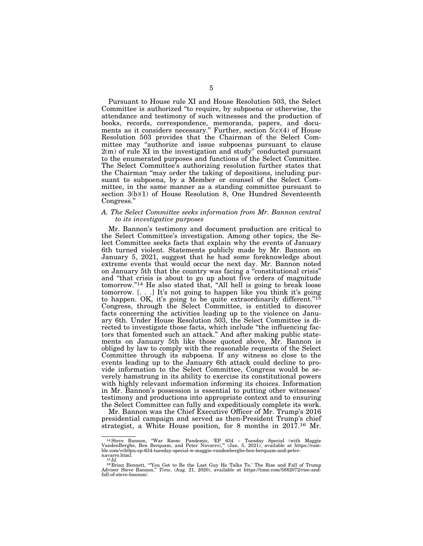Pursuant to House rule XI and House Resolution 503, the Select Committee is authorized ''to require, by subpoena or otherwise, the attendance and testimony of such witnesses and the production of books, records, correspondence, memoranda, papers, and documents as it considers necessary.'' Further, section 5(c)(4) of House Resolution 503 provides that the Chairman of the Select Committee may ''authorize and issue subpoenas pursuant to clause  $2(m)$  of rule XI in the investigation and study" conducted pursuant to the enumerated purposes and functions of the Select Committee. The Select Committee's authorizing resolution further states that the Chairman ''may order the taking of depositions, including pursuant to subpoena, by a Member or counsel of the Select Committee, in the same manner as a standing committee pursuant to section 3(b)(1) of House Resolution 8, One Hundred Seventeenth Congress.''

## *A. The Select Committee seeks information from Mr. Bannon central to its investigative purposes*

Mr. Bannon's testimony and document production are critical to the Select Committee's investigation. Among other topics, the Select Committee seeks facts that explain why the events of January 6th turned violent. Statements publicly made by Mr. Bannon on January 5, 2021, suggest that he had some foreknowledge about extreme events that would occur the next day. Mr. Bannon noted on January 5th that the country was facing a ''constitutional crisis'' and ''that crisis is about to go up about five orders of magnitude tomorrow.''14 He also stated that, ''All hell is going to break loose tomorrow. [. . .] It's not going to happen like you think it's going to happen. OK, it's going to be quite extraordinarily different."<sup>15</sup> Congress, through the Select Committee, is entitled to discover facts concerning the activities leading up to the violence on January 6th. Under House Resolution 503, the Select Committee is directed to investigate those facts, which include ''the influencing factors that fomented such an attack.'' And after making public statements on January 5th like those quoted above, Mr. Bannon is obliged by law to comply with the reasonable requests of the Select Committee through its subpoena. If any witness so close to the events leading up to the January 6th attack could decline to provide information to the Select Committee, Congress would be severely hamstrung in its ability to exercise its constitutional powers with highly relevant information informing its choices. Information in Mr. Bannon's possession is essential to putting other witnesses' testimony and productions into appropriate context and to ensuring the Select Committee can fully and expeditiously complete its work.

Mr. Bannon was the Chief Executive Officer of Mr. Trump's 2016 presidential campaign and served as then-President Trump's chief strategist, a White House position, for 8 months in 2017.<sup>16</sup> Mr.

<sup>&</sup>lt;sup>14</sup> Steve Bannon, "War Room: Pandemic, 'EP 634 – Tuesday Special (with Maggie VandenBerghe, Ben Berquam, and Peter Navarro)," (Jan. 5, 2021), available at https://rumble.com/vch0pu-ep-634-tuesday-special-w-maggie-vandenberghe-ben-berquam-and-peter-

navarro.html.<br><sup>15</sup>*Id.*<br><sup>16</sup> Brian Bennett, "You Got to Be the Last Guy He Talks To.' The Rise and Fall of Trump<br>Adviser Steve Bannon," *Time*, (Aug. 21, 2020), available at https://time.com/5882072/rise-andfall-of-steve-bannon/.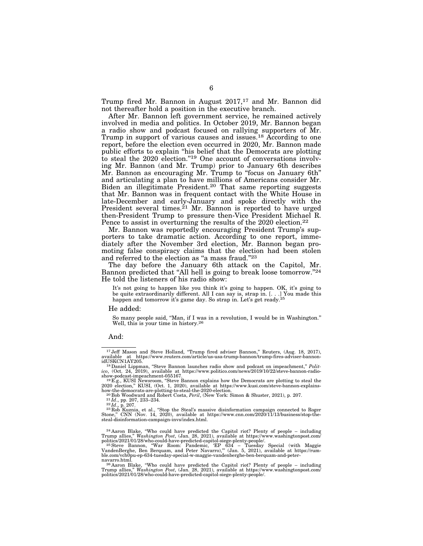Trump fired Mr. Bannon in August 2017,<sup>17</sup> and Mr. Bannon did not thereafter hold a position in the executive branch.

After Mr. Bannon left government service, he remained actively involved in media and politics. In October 2019, Mr. Bannon began a radio show and podcast focused on rallying supporters of Mr. Trump in support of various causes and issues.<sup>18</sup> According to one report, before the election even occurred in 2020, Mr. Bannon made public efforts to explain ''his belief that the Democrats are plotting to steal the 2020 election.''19 One account of conversations involving Mr. Bannon (and Mr. Trump) prior to January 6th describes Mr. Bannon as encouraging Mr. Trump to "focus on January 6th" and articulating a plan to have millions of Americans consider Mr. Biden an illegitimate President.20 That same reporting suggests that Mr. Bannon was in frequent contact with the White House in late-December and early-January and spoke directly with the President several times.<sup>21</sup> Mr. Bannon is reported to have urged then-President Trump to pressure then-Vice President Michael R. Pence to assist in overturning the results of the 2020 election.<sup>22</sup>

Mr. Bannon was reportedly encouraging President Trump's supporters to take dramatic action. According to one report, immediately after the November 3rd election, Mr. Bannon began promoting false conspiracy claims that the election had been stolen and referred to the election as "a mass fraud."<sup>23</sup>

The day before the January 6th attack on the Capitol, Mr. Bannon predicted that "All hell is going to break loose tomorrow."24 He told the listeners of his radio show:

It's not going to happen like you think it's going to happen. OK, it's going to be quite extraordinarily different. All I can say is, strap in. [. . .] You made this happen and tomorrow it's game day. So strap in. Let's get ready.<sup>25</sup>

#### He added:

So many people said, ''Man, if I was in a revolution, I would be in Washington.'' Well, this is your time in history.26

#### And:

how-the-democrats-are-plotting-to-steal-the-2020-election.<br><sup>20</sup>Bob Woodward and Robert Costa, *Peril*, (New York: Simon & Shuster, 2021), p. 207.<br><sup>22</sup>Id., pp. 207, 233–234.<br><sup>22</sup>Rd., p. 207.<br><sup>23</sup>Rob Kuznia, et al., "Stop t steal-disinformation-campaign-invs/index.html.

24 Aaron Blake, ''Who could have predicted the Capitol riot? Plenty of people – including

Trump allies," *Washington Post*, (Jan. 28, 2021), available at https://www.washingtonpost.com/<br>politics/2021/01/28/who-could-have-predicted-capitol-siege-plenty-people/<br><sup>25</sup> Steve Bannon, "War Room: Pandemic, 'EP 634 – Tu

<sup>&</sup>lt;sup>17</sup> Jeff Mason and Steve Holland, "Trump fired adviser Bannon," Reuters, (Aug. 18, 2017), available at https://www.reuters.com/article/us-usa-trump-bannon/trump-fires-adviser-bannon-

idUSKCN1AY205.<br><sup>18</sup>Daniel Lippman, "Steve Bannon launches radio show and podcast on impeachment," *Polit-*<br>ico, (Oct. 24, 2019), available at https://www.politico.com/news/2019/10/22/steve-bannon-radio-

show-podcast-impeachment-055167.<br><sup>19</sup>E.g., KUSI Newsroom, "Steve Bannon explains how the Democrats are plotting to steal the<br>2020 election," KUSI, (Oct. 1, 2020), available at https://www.kusi.com/steve-bannon-explains-

navarro.html.<br><sup>26</sup>Aaron Blake, "Who could have predicted the Capitol riot? Plenty of people – including<br>Trump allies," *Washington Post*, (Jan. 28, 2021), available at https://www.washingtonpost.com/<br>politics/2021/01/28/wh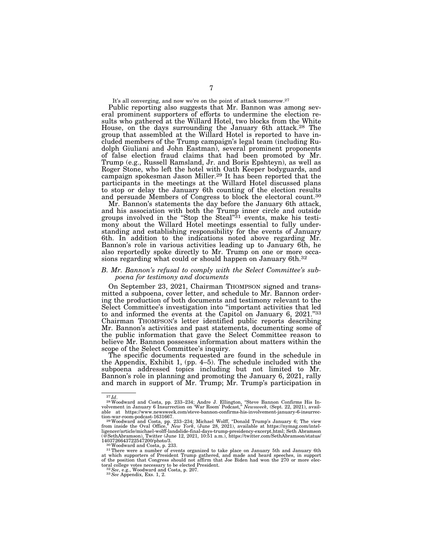It's all converging, and now we're on the point of attack tomorrow.<sup>27</sup>

Public reporting also suggests that Mr. Bannon was among several prominent supporters of efforts to undermine the election results who gathered at the Willard Hotel, two blocks from the White House, on the days surrounding the January 6th attack.28 The group that assembled at the Willard Hotel is reported to have included members of the Trump campaign's legal team (including Rudolph Giuliani and John Eastman), several prominent proponents of false election fraud claims that had been promoted by Mr. Trump (e.g., Russell Ramsland, Jr. and Boris Epshteyn), as well as Roger Stone, who left the hotel with Oath Keeper bodyguards, and campaign spokesman Jason Miller.29 It has been reported that the participants in the meetings at the Willard Hotel discussed plans to stop or delay the January 6th counting of the election results and persuade Members of Congress to block the electoral count.<sup>30</sup>

Mr. Bannon's statements the day before the January 6th attack, and his association with both the Trump inner circle and outside groups involved in the "Stop the Steal"<sup>31</sup> events, make his testimony about the Willard Hotel meetings essential to fully understanding and establishing responsibility for the events of January 6th. In addition to the indications noted above regarding Mr. Bannon's role in various activities leading up to January 6th, he also reportedly spoke directly to Mr. Trump on one or more occasions regarding what could or should happen on January 6th.<sup>32</sup>

## *B. Mr. Bannon's refusal to comply with the Select Committee's subpoena for testimony and documents*

On September 23, 2021, Chairman THOMPSON signed and transmitted a subpoena, cover letter, and schedule to Mr. Bannon ordering the production of both documents and testimony relevant to the Select Committee's investigation into ''important activities that led to and informed the events at the Capitol on January 6, 2021.''33 Chairman THOMPSON's letter identified public reports describing Mr. Bannon's activities and past statements, documenting some of the public information that gave the Select Committee reason to believe Mr. Bannon possesses information about matters within the scope of the Select Committee's inquiry.

The specific documents requested are found in the schedule in the Appendix, Exhibit 1,  $(pp. 4-5)$ . The schedule included with the subpoena addressed topics including but not limited to Mr. Bannon's role in planning and promoting the January 6, 2021, rally and march in support of Mr. Trump; Mr. Trump's participation in

 $^{27}$ Id.<br><sup>28</sup>Woodward and Costa, pp. 233–234; Andre J. Ellington, "Steve Bannon Confirms His In-<br>volvement in January 6 Insurrection on 'War Room' Podcast," *Newsweek*, (Sept. 22, 2021), avail-<br>able at https://www.newswe

tion-war-room-podcast-1631667.<br><sup>29</sup> Woodward and Costa, pp. 233–234; Michael Wolff, "Donald Trump's January 6; The view<br>from inside the Oval Office," *New York*, (June 28, 2021), available at https://nymag.com/intel-<br>ligen (@SethAbramson), Twitter (June 12, 2021, 10:51 a.m.), https://twitter.com/SethAbramson/status/<br>1403726643722547200/photo/3.<br><sup>30</sup>Woodward and Costa, p. 233.<br><sup>31</sup>There were a number of events organized to take place on Janu

at which supporters of President Trump gathered, and made and heard speeches, in support of the position that Congress should not affirm that Joe Biden had won the 270 or more electoral college votes necessary to be elected President. 32*See*, e.g., Woodward and Costa, p. 207. 33*See* Appendix, Exs. 1, 2.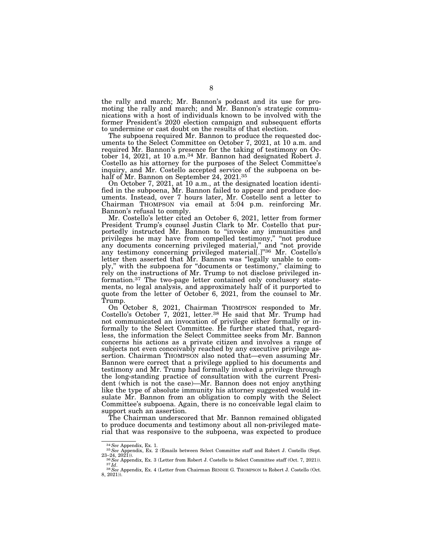the rally and march; Mr. Bannon's podcast and its use for promoting the rally and march; and Mr. Bannon's strategic communications with a host of individuals known to be involved with the former President's 2020 election campaign and subsequent efforts to undermine or cast doubt on the results of that election.

The subpoena required Mr. Bannon to produce the requested documents to the Select Committee on October 7, 2021, at 10 a.m. and required Mr. Bannon's presence for the taking of testimony on October 14, 2021, at 10 a.m.34 Mr. Bannon had designated Robert J. Costello as his attorney for the purposes of the Select Committee's inquiry, and Mr. Costello accepted service of the subpoena on behalf of Mr. Bannon on September 24, 2021.35

On October 7, 2021, at 10 a.m., at the designated location identified in the subpoena, Mr. Bannon failed to appear and produce documents. Instead, over 7 hours later, Mr. Costello sent a letter to Chairman THOMPSON via email at 5:04 p.m. reinforcing Mr. Bannon's refusal to comply.

Mr. Costello's letter cited an October 6, 2021, letter from former President Trump's counsel Justin Clark to Mr. Costello that purportedly instructed Mr. Bannon to "invoke any immunities and privileges he may have from compelled testimony," "not produce any documents concerning privileged material,'' and ''not provide any testimony concerning privileged material[.]"36 Mr. Costello's letter then asserted that Mr. Bannon was ''legally unable to comply,'' with the subpoena for ''documents or testimony,'' claiming to rely on the instructions of Mr. Trump to not disclose privileged information.37 The two-page letter contained only conclusory statements, no legal analysis, and approximately half of it purported to quote from the letter of October 6, 2021, from the counsel to Mr. Trump.

On October 8, 2021, Chairman THOMPSON responded to Mr. Costello's October 7, 2021, letter.38 He said that Mr. Trump had not communicated an invocation of privilege either formally or informally to the Select Committee. He further stated that, regardless, the information the Select Committee seeks from Mr. Bannon concerns his actions as a private citizen and involves a range of subjects not even conceivably reached by any executive privilege assertion. Chairman THOMPSON also noted that—even assuming Mr. Bannon were correct that a privilege applied to his documents and testimony and Mr. Trump had formally invoked a privilege through the long-standing practice of consultation with the current President (which is not the case)—Mr. Bannon does not enjoy anything like the type of absolute immunity his attorney suggested would insulate Mr. Bannon from an obligation to comply with the Select Committee's subpoena. Again, there is no conceivable legal claim to support such an assertion.

The Chairman underscored that Mr. Bannon remained obligated to produce documents and testimony about all non-privileged material that was responsive to the subpoena, was expected to produce

<sup>34</sup>*See* Appendix, Ex. 1. 35*See* Appendix, Ex. 2 (Emails between Select Committee staff and Robert J. Costello (Sept.

<sup>23–24, 2021)).&</sup>lt;br><sup>36</sup> See Appendix, Ex. 3 (Letter from Robert J. Costello to Select Committee staff (Oct. 7, 2021)).<br><sup>37</sup>Id.<br><sup>38</sup> See Appendix, Ex. 4 (Letter from Chairman BENNIE G. THOMPSON to Robert J. Costello (Oct.<br>8, 2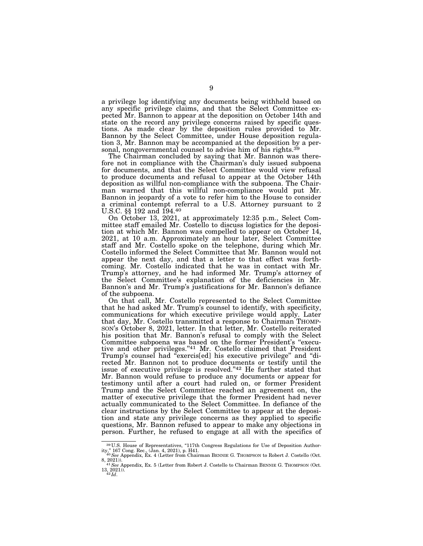a privilege log identifying any documents being withheld based on any specific privilege claims, and that the Select Committee expected Mr. Bannon to appear at the deposition on October 14th and state on the record any privilege concerns raised by specific questions. As made clear by the deposition rules provided to Mr. Bannon by the Select Committee, under House deposition regulation 3, Mr. Bannon may be accompanied at the deposition by a personal, nongovernmental counsel to advise him of his rights.<sup>3</sup>

The Chairman concluded by saying that Mr. Bannon was therefore not in compliance with the Chairman's duly issued subpoena for documents, and that the Select Committee would view refusal to produce documents and refusal to appear at the October 14th deposition as willful non-compliance with the subpoena. The Chairman warned that this willful non-compliance would put Mr. Bannon in jeopardy of a vote to refer him to the House to consider a criminal contempt referral to a U.S. Attorney pursuant to 2 U.S.C. §§ 192 and 194.40

On October 13, 2021, at approximately 12:35 p.m., Select Committee staff emailed Mr. Costello to discuss logistics for the deposition at which Mr. Bannon was compelled to appear on October 14, 2021, at 10 a.m. Approximately an hour later, Select Committee staff and Mr. Costello spoke on the telephone, during which Mr. Costello informed the Select Committee that Mr. Bannon would not appear the next day, and that a letter to that effect was forthcoming. Mr. Costello indicated that he was in contact with Mr. Trump's attorney, and he had informed Mr. Trump's attorney of the Select Committee's explanation of the deficiencies in Mr. Bannon's and Mr. Trump's justifications for Mr. Bannon's defiance of the subpoena.

On that call, Mr. Costello represented to the Select Committee that he had asked Mr. Trump's counsel to identify, with specificity, communications for which executive privilege would apply. Later that day, Mr. Costello transmitted a response to Chairman THOMP-SON's October 8, 2021, letter. In that letter, Mr. Costello reiterated his position that Mr. Bannon's refusal to comply with the Select Committee subpoena was based on the former President's ''executive and other privileges.''41 Mr. Costello claimed that President Trump's counsel had ''exercis[ed] his executive privilege'' and ''directed Mr. Bannon not to produce documents or testify until the issue of executive privilege is resolved.''42 He further stated that Mr. Bannon would refuse to produce any documents or appear for testimony until after a court had ruled on, or former President Trump and the Select Committee reached an agreement on, the matter of executive privilege that the former President had never actually communicated to the Select Committee. In defiance of the clear instructions by the Select Committee to appear at the deposition and state any privilege concerns as they applied to specific questions, Mr. Bannon refused to appear to make any objections in person. Further, he refused to engage at all with the specifics of

<sup>39</sup> U.S. House of Representatives, ''117th Congress Regulations for Use of Deposition Authority,'' 167 Cong. Rec., (Jan. 4, 2021), p. H41. 40*See* Appendix, Ex. 4 (Letter from Chairman BENNIE G. THOMPSON to Robert J. Costello (Oct.

<sup>8, 2021)).&</sup>lt;br>41 See Appendix, Ex. 5 (Letter from Robert J. Costello to Chairman BENNIE G. THOMPSON (Oct.<br><sup>41</sup> See Appendix, Ex. 5 (Letter from Robert J. Costello to Chairman BENNIE G. THOMPSON (Oct.  $13, 2021)$ ).<br> $42$ *Id.*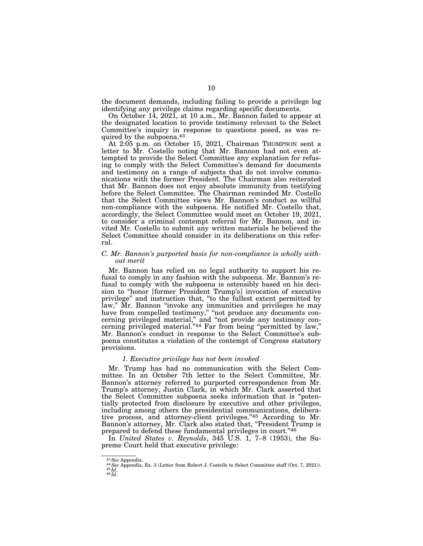the document demands, including failing to provide a privilege log identifying any privilege claims regarding specific documents.

On October 14, 2021, at 10 a.m., Mr. Bannon failed to appear at the designated location to provide testimony relevant to the Select Committee's inquiry in response to questions posed, as was required by the subpoena.43

At 2:05 p.m. on October 15, 2021, Chairman THOMPSON sent a letter to Mr. Costello noting that Mr. Bannon had not even attempted to provide the Select Committee any explanation for refusing to comply with the Select Committee's demand for documents and testimony on a range of subjects that do not involve communications with the former President. The Chairman also reiterated that Mr. Bannon does not enjoy absolute immunity from testifying before the Select Committee. The Chairman reminded Mr. Costello that the Select Committee views Mr. Bannon's conduct as willful non-compliance with the subpoena. He notified Mr. Costello that, accordingly, the Select Committee would meet on October 19, 2021, to consider a criminal contempt referral for Mr. Bannon, and invited Mr. Costello to submit any written materials he believed the Select Committee should consider in its deliberations on this referral.

# *C. Mr. Bannon's purported basis for non-compliance is wholly without merit*

Mr. Bannon has relied on no legal authority to support his refusal to comply in any fashion with the subpoena. Mr. Bannon's refusal to comply with the subpoena is ostensibly based on his decision to ''honor [former President Trump's] invocation of executive privilege'' and instruction that, ''to the fullest extent permitted by law,'' Mr. Bannon ''invoke any immunities and privileges he may have from compelled testimony," "not produce any documents concerning privileged material,'' and ''not provide any testimony concerning privileged material."<sup>44</sup> Far from being "permitted by law," Mr. Bannon's conduct in response to the Select Committee's subpoena constitutes a violation of the contempt of Congress statutory provisions.

#### *1. Executive privilege has not been invoked*

Mr. Trump has had no communication with the Select Committee. In an October 7th letter to the Select Committee, Mr. Bannon's attorney referred to purported correspondence from Mr. Trump's attorney, Justin Clark, in which Mr. Clark asserted that the Select Committee subpoena seeks information that is ''potentially protected from disclosure by executive and other privileges, including among others the presidential communications, deliberative process, and attorney-client privileges.''45 According to Mr. Bannon's attorney, Mr. Clark also stated that, "President Trump is prepared to defend these fundamental privileges in court.''46

In *United States v. Reynolds*, 345 U.S. 1, 7–8 (1953), the Supreme Court held that executive privilege:

<sup>43</sup>*See* Appendix. 44*See* Appendix, Ex. 3 (Letter from Robert J. Costello to Select Committee staff (Oct. 7, 2021)). 45 *Id*. 46 *Id*.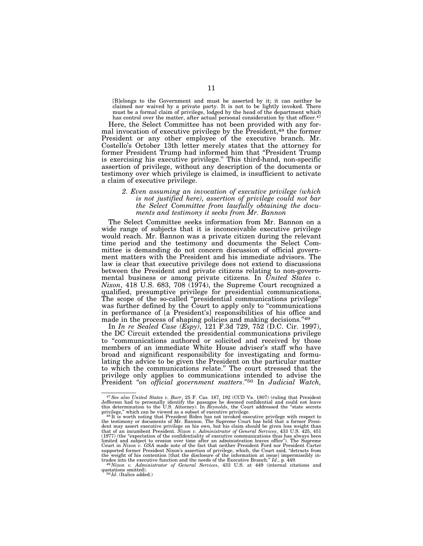[B]elongs to the Government and must be asserted by it; it can neither be claimed nor waived by a private party. It is not to be lightly invoked. There must be a formal claim of privilege, lodged by the head of the department which has control over the matter, after actual personal consideration by that officer.<sup>47</sup>

Here, the Select Committee has not been provided with any formal invocation of executive privilege by the President,<sup>48</sup> the former President or any other employee of the executive branch. Mr. Costello's October 13th letter merely states that the attorney for former President Trump had informed him that ''President Trump is exercising his executive privilege.'' This third-hand, non-specific assertion of privilege, without any description of the documents or testimony over which privilege is claimed, is insufficient to activate a claim of executive privilege.

## *2. Even assuming an invocation of executive privilege (which is not justified here), assertion of privilege could not bar the Select Committee from lawfully obtaining the documents and testimony it seeks from Mr. Bannon*

The Select Committee seeks information from Mr. Bannon on a wide range of subjects that it is inconceivable executive privilege would reach. Mr. Bannon was a private citizen during the relevant time period and the testimony and documents the Select Committee is demanding do not concern discussion of official government matters with the President and his immediate advisors. The law is clear that executive privilege does not extend to discussions between the President and private citizens relating to non-governmental business or among private citizens. In *United States v. Nixon*, 418 U.S. 683, 708  $(1974)$ , the Supreme Court recognized a qualified, presumptive privilege for presidential communications. The scope of the so-called ''presidential communications privilege'' was further defined by the Court to apply only to "communications" in performance of [a President's] responsibilities of his office and made in the process of shaping policies and making decisions."49

In *In re Sealed Case (Espy)*, 121 F.3d 729, 752 (D.C. Cir. 1997), the DC Circuit extended the presidential communications privilege to ''communications authored or solicited and received by those members of an immediate White House adviser's staff who have broad and significant responsibility for investigating and formulating the advice to be given the President on the particular matter to which the communications relate.'' The court stressed that the privilege only applies to communications intended to advise the President ''*on official government matters*.''50 In *Judicial Watch,* 

<sup>47</sup>*See also United States v. Burr*, 25 F. Cas. 187, 192 (CCD Va. 1807) (ruling that President Jefferson had to personally identify the passages he deemed confidential and could not leave this determination to the U.S. Attorney). In *Reynolds*, the Court addressed the "state secrets<br>privilege," which can be viewed as a subset of executive privilege.<br><sup>48</sup>It is worth noting that President Biden has not invoke

the testimony or documents of Mr. Bannon. The Supreme Court has held that a former Presi-<br>dent may assert executive privilege on his own, but his claim should be given less weight than<br>that of an incumbent President. *Nixo* (1977) (the "expectation of the confidentiality of executive communications thus has always been<br>limited and subject to erosion over time after an administration leaves office"). The Supreme<br>Court in *Nixon v. GSA* made no supported former President Nixon's assertion of privilege, which, the Court said, "detracts from<br>the weight of his contention [that the disclosure of the information at issue] impermissibly in-<br>trudes into the executive f

 $^{49}Nixon$  *v. Administrator of General Services*, 433 U.S. at 449 (internal citations and quotations omitted).  $^{50}Id$ . (Italics added.)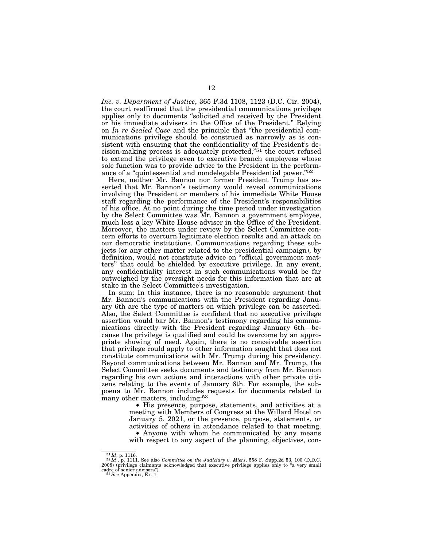*Inc. v. Department of Justice*, 365 F.3d 1108, 1123 (D.C. Cir. 2004), the court reaffirmed that the presidential communications privilege applies only to documents ''solicited and received by the President or his immediate advisers in the Office of the President.'' Relying on *In re Sealed Case* and the principle that ''the presidential communications privilege should be construed as narrowly as is consistent with ensuring that the confidentiality of the President's decision-making process is adequately protected,''51 the court refused to extend the privilege even to executive branch employees whose sole function was to provide advice to the President in the performance of a "quintessential and nondelegable Presidential power."<sup>52</sup>

Here, neither Mr. Bannon nor former President Trump has asserted that Mr. Bannon's testimony would reveal communications involving the President or members of his immediate White House staff regarding the performance of the President's responsibilities of his office. At no point during the time period under investigation by the Select Committee was Mr. Bannon a government employee, much less a key White House adviser in the Office of the President. Moreover, the matters under review by the Select Committee concern efforts to overturn legitimate election results and an attack on our democratic institutions. Communications regarding these subjects (or any other matter related to the presidential campaign), by definition, would not constitute advice on ''official government matters'' that could be shielded by executive privilege. In any event, any confidentiality interest in such communications would be far outweighed by the oversight needs for this information that are at stake in the Select Committee's investigation.

In sum: In this instance, there is no reasonable argument that Mr. Bannon's communications with the President regarding January 6th are the type of matters on which privilege can be asserted. Also, the Select Committee is confident that no executive privilege assertion would bar Mr. Bannon's testimony regarding his communications directly with the President regarding January 6th—because the privilege is qualified and could be overcome by an appropriate showing of need. Again, there is no conceivable assertion that privilege could apply to other information sought that does not constitute communications with Mr. Trump during his presidency. Beyond communications between Mr. Bannon and Mr. Trump, the Select Committee seeks documents and testimony from Mr. Bannon regarding his own actions and interactions with other private citizens relating to the events of January 6th. For example, the subpoena to Mr. Bannon includes requests for documents related to many other matters, including:<sup>53</sup>

> • His presence, purpose, statements, and activities at a meeting with Members of Congress at the Willard Hotel on January 5, 2021, or the presence, purpose, statements, or activities of others in attendance related to that meeting. • Anyone with whom he communicated by any means with respect to any aspect of the planning, objectives, con-

<sup>51</sup> *Id*, p. 1116. 52 *Id*., p. 1111. See also *Committee on the Judiciary v. Miers*, 558 F. Supp.2d 53, 100 (D.D.C. 2008) (privilege claimants acknowledged that executive privilege applies only to "a very small cadre of senior advisors").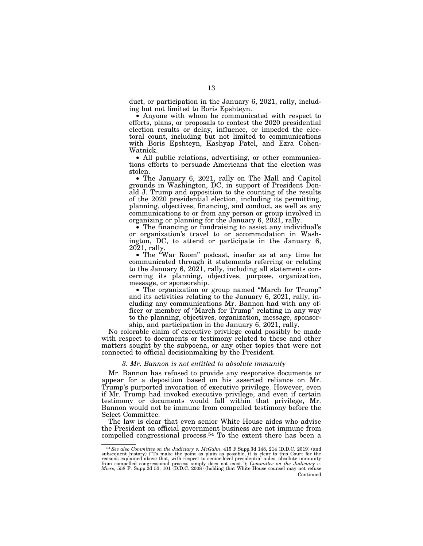duct, or participation in the January 6, 2021, rally, including but not limited to Boris Epshteyn.

• Anyone with whom he communicated with respect to efforts, plans, or proposals to contest the 2020 presidential election results or delay, influence, or impeded the electoral count, including but not limited to communications with Boris Epshteyn, Kashyap Patel, and Ezra Cohen-Watnick.

• All public relations, advertising, or other communications efforts to persuade Americans that the election was stolen.

• The January 6, 2021, rally on The Mall and Capitol grounds in Washington, DC, in support of President Donald J. Trump and opposition to the counting of the results of the 2020 presidential election, including its permitting, planning, objectives, financing, and conduct, as well as any communications to or from any person or group involved in organizing or planning for the January 6, 2021, rally.

• The financing or fundraising to assist any individual's or organization's travel to or accommodation in Washington, DC, to attend or participate in the January 6, 2021, rally.

• The ''War Room'' podcast, insofar as at any time he communicated through it statements referring or relating to the January 6, 2021, rally, including all statements concerning its planning, objectives, purpose, organization, message, or sponsorship.

• The organization or group named ''March for Trump'' and its activities relating to the January 6, 2021, rally, including any communications Mr. Bannon had with any officer or member of "March for Trump" relating in any way to the planning, objectives, organization, message, sponsorship, and participation in the January 6, 2021, rally.

No colorable claim of executive privilege could possibly be made with respect to documents or testimony related to these and other matters sought by the subpoena, or any other topics that were not connected to official decisionmaking by the President.

## *3. Mr. Bannon is not entitled to absolute immunity*

Mr. Bannon has refused to provide any responsive documents or appear for a deposition based on his asserted reliance on Mr. Trump's purported invocation of executive privilege. However, even if Mr. Trump had invoked executive privilege, and even if certain testimony or documents would fall within that privilege, Mr. Bannon would not be immune from compelled testimony before the Select Committee.

The law is clear that even senior White House aides who advise the President on official government business are not immune from compelled congressional process.<sup>54</sup> To the extent there has been a

<sup>54</sup>*See also Committee on the Judiciary v. McGahn*, 415 F.Supp.3d 148, 214 (D.D.C. 2019) (and subsequent history) (''To make the point as plain as possible, it is clear to this Court for the reasons explained above that, with respect to senior-level presidential aides, absolute immunity<br>from compelled congressional process simply does not exist."); *Committee on the Judiciary v.*<br>Miers, 558 F. Supp.2d 53, 101 Continued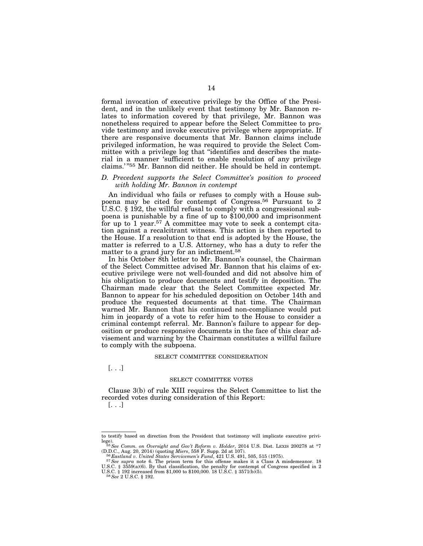formal invocation of executive privilege by the Office of the President, and in the unlikely event that testimony by Mr. Bannon relates to information covered by that privilege, Mr. Bannon was nonetheless required to appear before the Select Committee to provide testimony and invoke executive privilege where appropriate. If there are responsive documents that Mr. Bannon claims include privileged information, he was required to provide the Select Committee with a privilege log that ''identifies and describes the material in a manner 'sufficient to enable resolution of any privilege claims.' ''55 Mr. Bannon did neither. He should be held in contempt.

# *D. Precedent supports the Select Committee's position to proceed with holding Mr. Bannon in contempt*

An individual who fails or refuses to comply with a House subpoena may be cited for contempt of Congress.56 Pursuant to 2 U.S.C. § 192, the willful refusal to comply with a congressional subpoena is punishable by a fine of up to \$100,000 and imprisonment for up to 1 year.57 A committee may vote to seek a contempt citation against a recalcitrant witness. This action is then reported to the House. If a resolution to that end is adopted by the House, the matter is referred to a U.S. Attorney, who has a duty to refer the matter to a grand jury for an indictment.<sup>58</sup>

In his October 8th letter to Mr. Bannon's counsel, the Chairman of the Select Committee advised Mr. Bannon that his claims of executive privilege were not well-founded and did not absolve him of his obligation to produce documents and testify in deposition. The Chairman made clear that the Select Committee expected Mr. Bannon to appear for his scheduled deposition on October 14th and produce the requested documents at that time. The Chairman warned Mr. Bannon that his continued non-compliance would put him in jeopardy of a vote to refer him to the House to consider a criminal contempt referral. Mr. Bannon's failure to appear for deposition or produce responsive documents in the face of this clear advisement and warning by the Chairman constitutes a willful failure to comply with the subpoena.

### SELECT COMMITTEE CONSIDERATION

[. . .]

## SELECT COMMITTEE VOTES

Clause 3(b) of rule XIII requires the Select Committee to list the recorded votes during consideration of this Report: [. . .]

to testify based on direction from the President that testimony will implicate executive privi-

lege).<br><sup>55</sup>See Comm. on Oversight and Gov't Reform v. Holder, 2014 U.S. Dist. LEXIS 200278 at \*7<br>(D.D.C., Aug. 20, 2014) (quoting Miers, 558 F. Supp. 2d at 107).

<sup>&</sup>lt;sup>56</sup> Eastland v. United States Servicemen's Fund, 421 U.S. 491, 505, 515 (1975).<br><sup>57</sup> See supra note 6. The prison term for this offense makes it a Class A misdemeanor. 18 U.S.C. § 3559(a)(6). By that classification, the penalty for contempt of Congress specified in 2 U.S.C. § 192 increased from \$1,000 to \$100,000. 18 U.S.C. § 3571(b)(5). <sup>58</sup> See 2 U.S.C. § 192.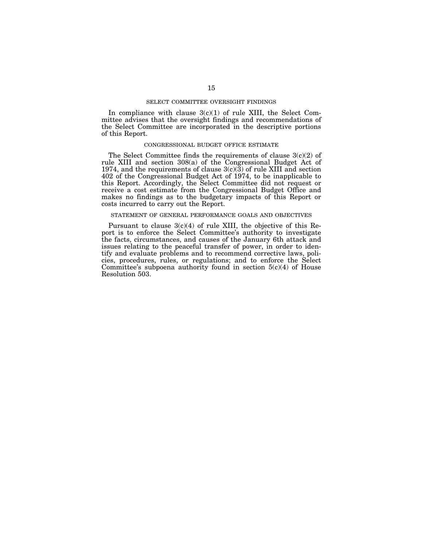## SELECT COMMITTEE OVERSIGHT FINDINGS

In compliance with clause  $3(c)(1)$  of rule XIII, the Select Committee advises that the oversight findings and recommendations of the Select Committee are incorporated in the descriptive portions of this Report.

## CONGRESSIONAL BUDGET OFFICE ESTIMATE

The Select Committee finds the requirements of clause 3(c)(2) of rule XIII and section 308(a) of the Congressional Budget Act of 1974, and the requirements of clause  $3(c)(3)$  of rule XIII and section 402 of the Congressional Budget Act of 1974, to be inapplicable to this Report. Accordingly, the Select Committee did not request or receive a cost estimate from the Congressional Budget Office and makes no findings as to the budgetary impacts of this Report or costs incurred to carry out the Report.

## STATEMENT OF GENERAL PERFORMANCE GOALS AND OBJECTIVES

Pursuant to clause 3(c)(4) of rule XIII, the objective of this Report is to enforce the Select Committee's authority to investigate the facts, circumstances, and causes of the January 6th attack and issues relating to the peaceful transfer of power, in order to identify and evaluate problems and to recommend corrective laws, policies, procedures, rules, or regulations; and to enforce the Select Committee's subpoena authority found in section  $5(c)(4)$  of House Resolution 503.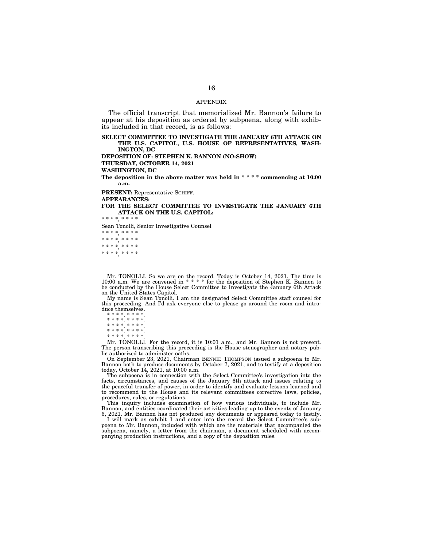#### APPENDIX

The official transcript that memorialized Mr. Bannon's failure to appear at his deposition as ordered by subpoena, along with exhibits included in that record, is as follows:

**SELECT COMMITTEE TO INVESTIGATE THE JANUARY 6TH ATTACK ON THE U.S. CAPITOL, U.S. HOUSE OF REPRESENTATIVES, WASH-INGTON, DC** 

**DEPOSITION OF: STEPHEN K. BANNON (NO-SHOW) THURSDAY, OCTOBER 14, 2021** 

**WASHINGTON, DC** 

**The deposition in the above matter was held in \* \* \* \* commencing at 10:00 a.m.** 

**PRESENT:** Representative SCHIFF.

**APPEARANCES:** 

**FOR THE SELECT COMMITTEE TO INVESTIGATE THE JANUARY 6TH ATTACK ON THE U.S. CAPITOL:** 

\* \* \* \* \* \* \*

Sean Tonolli, Senior Investigative Counsel

\* \* \* \*, \* \* \* \* \* \* \* \*, \* \* \* \* \* \* \* \*, \* \* \* \* \* \* \* \*, \* \* \* \*

Mr. TONOLLI. So we are on the record. Today is October 14, 2021. The time is 10:00 a.m. We are convened in \* \* \* \* for the deposition of Stephen K. Bannon to be conducted by the House Select Committee to Investigate the January 6th Attack on the United States Capitol.

My name is Sean Tonolli. I am the designated Select Committee staff counsel for this proceeding. And I'd ask everyone else to please go around the room and introduce themselves.

\* \* \* \*. \* \* \* \*.

\* \* \* \*. \* \* \* \*. \* \* \* \*. \* \* \* \*.

\* \* \* \*. \* \* \* \*.

\* \* \* \*. \* \* \* \*.

Mr. TONOLLI. For the record, it is 10:01 a.m., and Mr. Bannon is not present. The person transcribing this proceeding is the House stenographer and notary public authorized to administer oaths.

On September 23, 2021, Chairman BENNIE THOMPSON issued a subpoena to Mr. Bannon both to produce documents by October 7, 2021, and to testify at a deposition today, October 14, 2021, at 10:00 a.m.

The subpoena is in connection with the Select Committee's investigation into the facts, circumstances, and causes of the January 6th attack and issues relating to the peaceful transfer of power, in order to identify and evaluate lessons learned and to recommend to the House and its relevant committees corrective laws, policies, procedures, rules, or regulations.

This inquiry includes examination of how various individuals, to include Mr. Bannon, and entities coordinated their activities leading up to the events of January 6, 2021. Mr. Bannon has not produced any documents or appeared today to testify.

I will mark as exhibit 1 and enter into the record the Select Committee's subpoena to Mr. Bannon, included with which are the materials that accompanied the subpoena, namely, a letter from the chairman, a document scheduled with accompanying production instructions, and a copy of the deposition rules.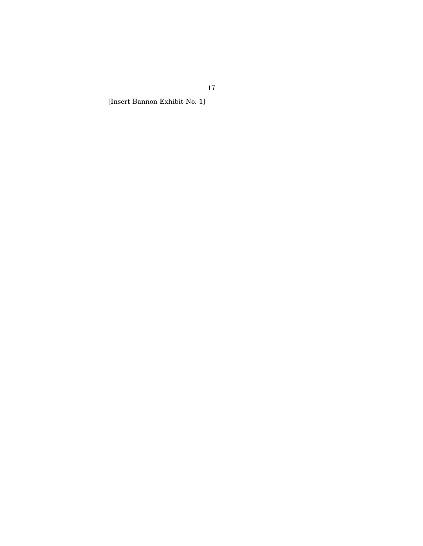[Insert Bannon Exhibit No. 1]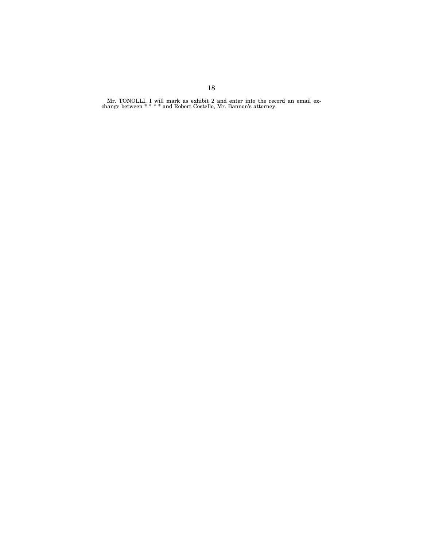Mr. TONOLLI. I will mark as exhibit 2 and enter into the record an email exchange between \* \* \* \* and Robert Costello, Mr. Bannon's attorney.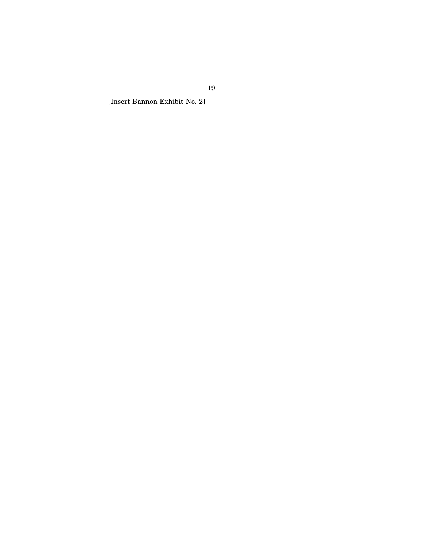[Insert Bannon Exhibit No. 2]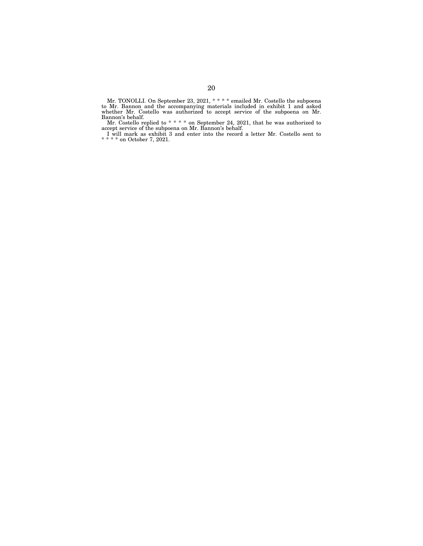Mr. TONOLLI. On September 23, 2021, \* \* \* \* emailed Mr. Costello the subpoena to Mr. Bannon and the accompanying materials included in exhibit 1 and asked whether Mr. Costello was authorized to accept service of the subpoena on Mr. Bannon's behalf.

Mr. Costello replied to \* \* \* \* on September 24, 2021, that he was authorized to accept service of the subpoena on Mr. Bannon's behalf.

I will mark as exhibit 3 and enter into the record a letter Mr. Costello sent to \* \* \* \* on October 7, 2021.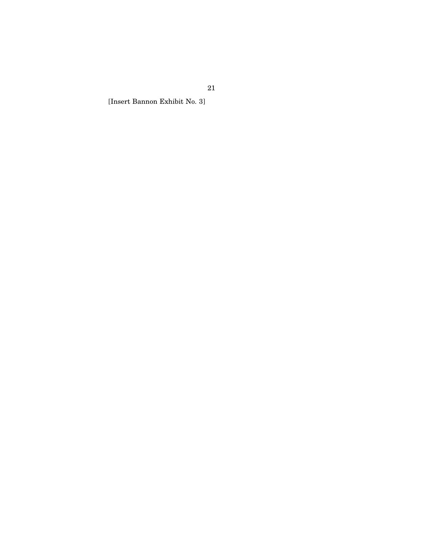[Insert Bannon Exhibit No. 3]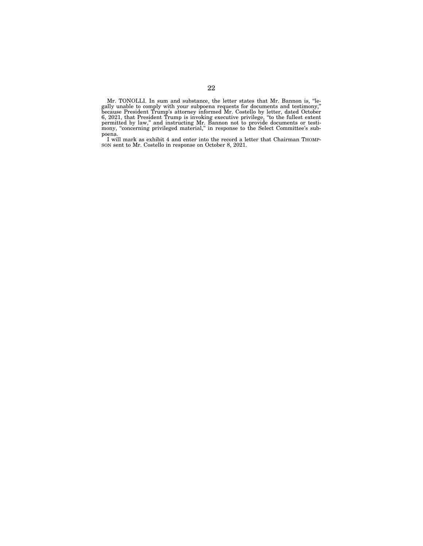Mr. TONOLLI. In sum and substance, the letter states that Mr. Bannon is, ''legally unable to comply with your subpoena requests for documents and testimony,'' because President Trump's attorney informed Mr. Costello by letter, dated October 6, 2021, that President Trump is invoking executive privilege, ''to the fullest extent permitted by law,'' and instructing Mr. Bannon not to provide documents or testimony, "concerning privileged material," in response to the Select Committee's sub-

poena. I will mark as exhibit 4 and enter into the record a letter that Chairman THOMP-SON sent to Mr. Costello in response on October 8, 2021.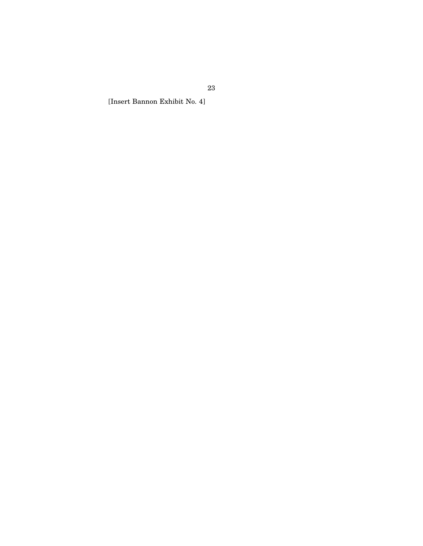[Insert Bannon Exhibit No. 4]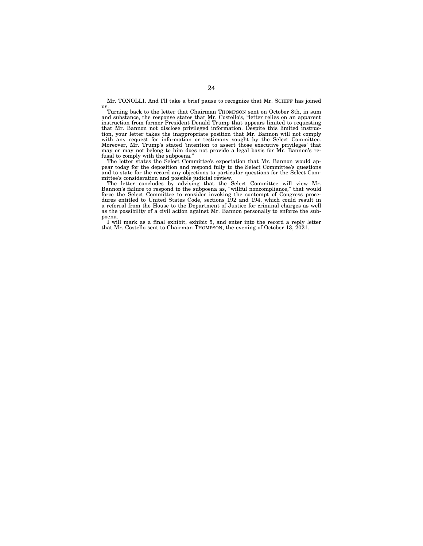Mr. TONOLLI. And I'll take a brief pause to recognize that Mr. SCHIFF has joined us.

Turning back to the letter that Chairman THOMPSON sent on October 8th, in sum and substance, the response states that Mr. Costello's, ''letter relies on an apparent instruction from former President Donald Trump that appears limited to requesting instruction from former President Donald Trump that appears limited to requesting that Mr. Bannon not disclose privileged information. Despite this limited instruction, your letter takes the inappropriate position that Mr. Bannon will not comply with any request for information or testimony sought by the Select Committee. Moreover, Mr. Trump's stated 'intention to assert those executive privileges' that may or may not belong to him does not provide a legal basis for Mr. Bannon's refusal to comply with the subpoena.''

The letter states the Select Committee's expectation that Mr. Bannon would appear today for the deposition and respond fully to the Select Committee's questions and to state for the record any objections to particular questions for the Select Committee's consideration and possible judicial review.

The letter concludes by advising that the Select Committee will view Mr. Bannon's failure to respond to the subpoena as, ''willful noncompliance,'' that would force the Select Committee to consider invoking the contempt of Congress procedures entitled to United States Code, sections 192 and 194, which could result in a referral from the House to the Department of Justice for criminal charges as well as the possibility of a civil action against Mr. Bannon personally to enforce the subpoena.

I will mark as a final exhibit, exhibit 5, and enter into the record a reply letter that Mr. Costello sent to Chairman THOMPSON, the evening of October 13, 2021.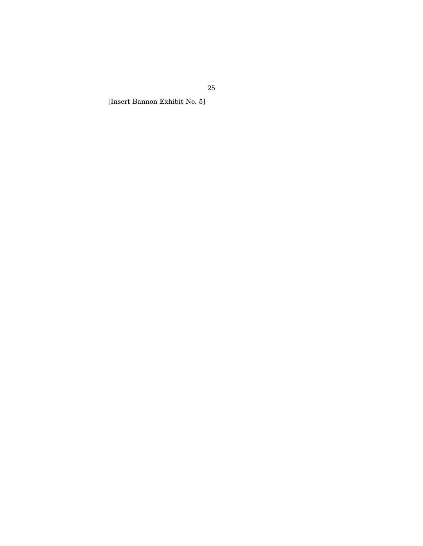[Insert Bannon Exhibit No. 5]